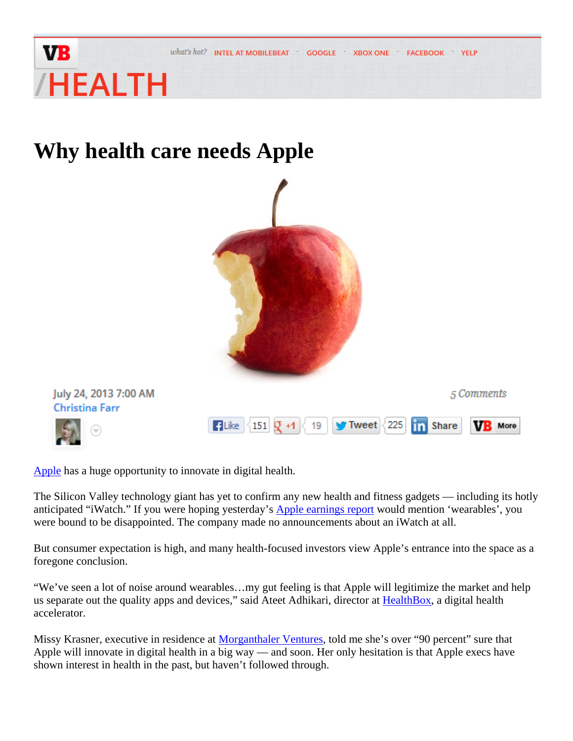

**Why health care needs Apple** 



**YELP** 

Apple has a huge opportunity to innovate in digital health.

The Silicon Valley technology giant has yet to confirm any new health and fitness gadgets — including its hotly anticipated "iWatch." If you were hoping yesterday's **Apple earnings report** would mention 'wearables', you were bound to be disappointed. The company made no announcements about an iWatch at all.

But consumer expectation is high, and many health-focused investors view Apple's entrance into the space as a foregone conclusion.

"We've seen a lot of noise around wearables…my gut feeling is that Apple will legitimize the market and help us separate out the quality apps and devices," said Ateet Adhikari, director at HealthBox, a digital health accelerator.

Missy Krasner, executive in residence at Morganthaler Ventures, told me she's over "90 percent" sure that Apple will innovate in digital health in a big way — and soon. Her only hesitation is that Apple execs have shown interest in health in the past, but haven't followed through.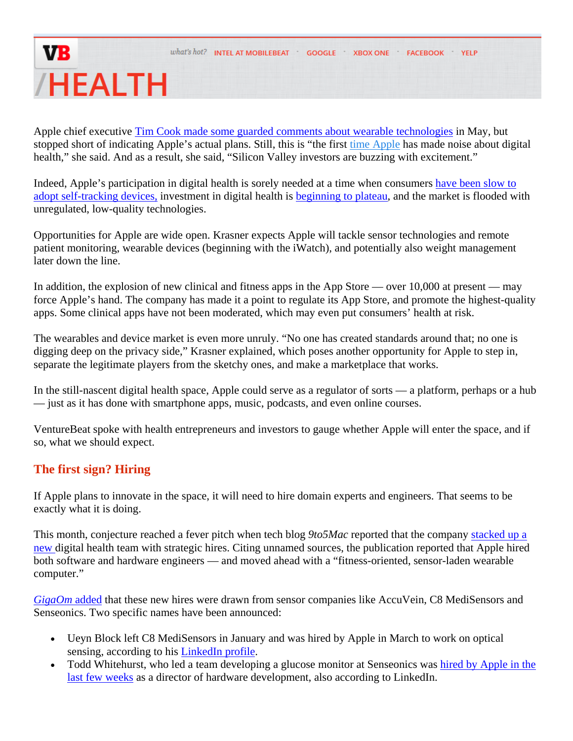Apple chief executive Tim Cook made some guarded comments about wearable technologies in May, but stopped short of indicating Apple's actual plans. Still, this is "the first time Apple has made noise about digital health," she said. And as a result, she said, "Silicon Valley investors are buzzing with excitement."

Indeed, Apple's participation in digital health is sorely needed at a time when consumers have been slow to adopt self-tracking devices, investment in digital health is beginning to plateau, and the market is flooded with unregulated, low-quality technologies.

Opportunities for Apple are wide open. Krasner expects Apple will tackle sensor technologies and remote patient monitoring, wearable devices (beginning with the iWatch), and potentially also weight management later down the line.

In addition, the explosion of new clinical and fitness apps in the App Store — over 10,000 at present — may force Apple's hand. The company has made it a point to regulate its App Store, and promote the highest-quality apps. Some clinical apps have not been moderated, which may even put consumers' health at risk.

The wearables and device market is even more unruly. "No one has created standards around that; no one is digging deep on the privacy side," Krasner explained, which poses another opportunity for Apple to step in, separate the legitimate players from the sketchy ones, and make a marketplace that works.

In the still-nascent digital health space, Apple could serve as a regulator of sorts — a platform, perhaps or a hub — just as it has done with smartphone apps, music, podcasts, and even online courses.

VentureBeat spoke with health entrepreneurs and investors to gauge whether Apple will enter the space, and if so, what we should expect.

### **The first sign? Hiring**

If Apple plans to innovate in the space, it will need to hire domain experts and engineers. That seems to be exactly what it is doing.

This month, conjecture reached a fever pitch when tech blog *9to5Mac* reported that the company stacked up a new digital health team with strategic hires. Citing unnamed sources, the publication reported that Apple hired both software and hardware engineers — and moved ahead with a "fitness-oriented, sensor-laden wearable computer."

*GigaOm* added that these new hires were drawn from sensor companies like AccuVein, C8 MediSensors and Senseonics. Two specific names have been announced:

- Ueyn Block left C8 MediSensors in January and was hired by Apple in March to work on optical sensing, according to his LinkedIn profile.
- Todd Whitehurst, who led a team developing a glucose monitor at Senseonics was hired by Apple in the last few weeks as a director of hardware development, also according to LinkedIn.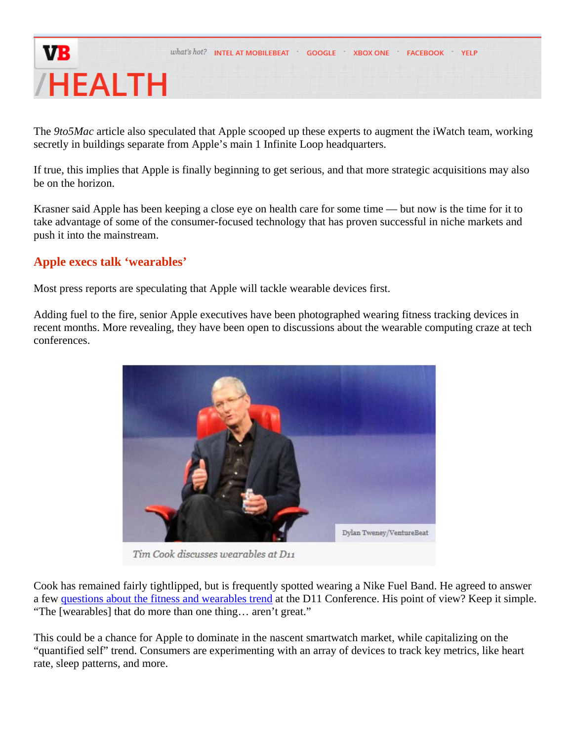The *9to5Mac* article also speculated that Apple scooped up these experts to augment the iWatch team, working secretly in buildings separate from Apple's main 1 Infinite Loop headquarters.

If true, this implies that Apple is finally beginning to get serious, and that more strategic acquisitions may also be on the horizon.

Krasner said Apple has been keeping a close eye on health care for some time — but now is the time for it to take advantage of some of the consumer-focused technology that has proven successful in niche markets and push it into the mainstream.

#### **Apple execs talk 'wearables'**

Most press reports are speculating that Apple will tackle wearable devices first.

Adding fuel to the fire, senior Apple executives have been photographed wearing fitness tracking devices in recent months. More revealing, they have been open to discussions about the wearable computing craze at tech conferences.



Tim Cook discusses wearables at D11

Cook has remained fairly tightlipped, but is frequently spotted wearing a Nike Fuel Band. He agreed to answer a few questions about the fitness and wearables trend at the D11 Conference. His point of view? Keep it simple. "The [wearables] that do more than one thing… aren't great."

This could be a chance for Apple to dominate in the nascent smartwatch market, while capitalizing on the "quantified self" trend. Consumers are experimenting with an array of devices to track key metrics, like heart rate, sleep patterns, and more.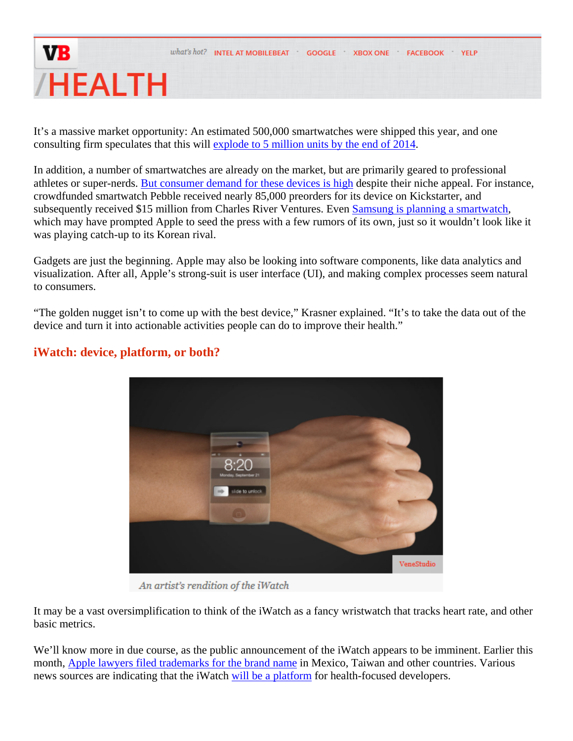It's a massive market opportunity: An estimated 500,000 smartwatches were shipped this year, and one consulting firm speculates that this will explode to 5 million units by the end of 2014.

In addition, a number of smartwatches are already on the market, but are primarily geared to professional athletes or super-nerds. But consumer demand for these devices is high despite their niche appeal. For instance, crowdfunded smartwatch Pebble received nearly 85,000 preorders for its device on Kickstarter, and subsequently received \$15 million from Charles River Ventures. Even Samsung is planning a smartwatch, which may have prompted Apple to seed the press with a few rumors of its own, just so it wouldn't look like it was playing catch-up to its Korean rival.

Gadgets are just the beginning. Apple may also be looking into software components, like data analytics and visualization. After all, Apple's strong-suit is user interface (UI), and making complex processes seem natural to consumers.

"The golden nugget isn't to come up with the best device," Krasner explained. "It's to take the data out of the device and turn it into actionable activities people can do to improve their health."



#### **iWatch: device, platform, or both?**

An artist's rendition of the iWatch

It may be a vast oversimplification to think of the iWatch as a fancy wristwatch that tracks heart rate, and other basic metrics.

We'll know more in due course, as the public announcement of the iWatch appears to be imminent. Earlier this month, Apple lawyers filed trademarks for the brand name in Mexico, Taiwan and other countries. Various news sources are indicating that the iWatch will be a platform for health-focused developers.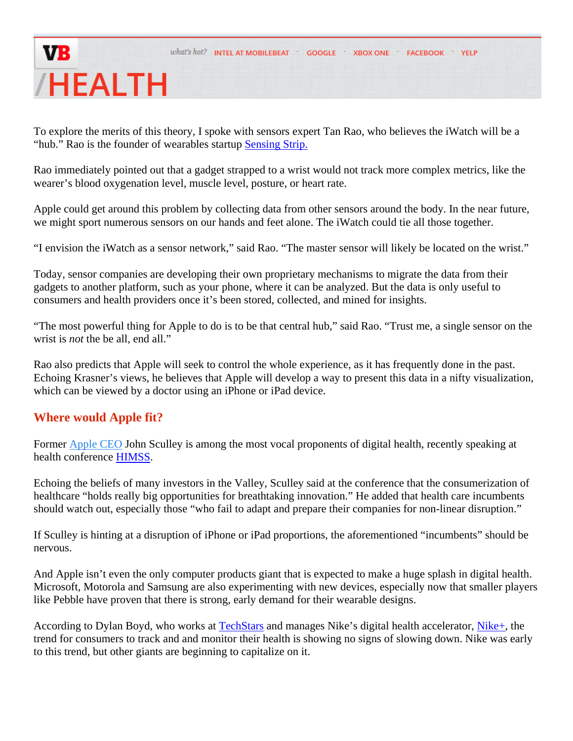To explore the merits of this theory, I spoke with sensors expert Tan Rao, who believes the iWatch will be a "hub." Rao is the founder of wearables startup Sensing Strip.

Rao immediately pointed out that a gadget strapped to a wrist would not track more complex metrics, like the wearer's blood oxygenation level, muscle level, posture, or heart rate.

Apple could get around this problem by collecting data from other sensors around the body. In the near future, we might sport numerous sensors on our hands and feet alone. The iWatch could tie all those together.

"I envision the iWatch as a sensor network," said Rao. "The master sensor will likely be located on the wrist."

Today, sensor companies are developing their own proprietary mechanisms to migrate the data from their gadgets to another platform, such as your phone, where it can be analyzed. But the data is only useful to consumers and health providers once it's been stored, collected, and mined for insights.

"The most powerful thing for Apple to do is to be that central hub," said Rao. "Trust me, a single sensor on the wrist is *not* the be all, end all."

Rao also predicts that Apple will seek to control the whole experience, as it has frequently done in the past. Echoing Krasner's views, he believes that Apple will develop a way to present this data in a nifty visualization, which can be viewed by a doctor using an iPhone or iPad device.

#### **Where would Apple fit?**

Former Apple CEO John Sculley is among the most vocal proponents of digital health, recently speaking at health conference HIMSS.

Echoing the beliefs of many investors in the Valley, Sculley said at the conference that the consumerization of healthcare "holds really big opportunities for breathtaking innovation." He added that health care incumbents should watch out, especially those "who fail to adapt and prepare their companies for non-linear disruption."

If Sculley is hinting at a disruption of iPhone or iPad proportions, the aforementioned "incumbents" should be nervous.

And Apple isn't even the only computer products giant that is expected to make a huge splash in digital health. Microsoft, Motorola and Samsung are also experimenting with new devices, especially now that smaller players like Pebble have proven that there is strong, early demand for their wearable designs.

According to Dylan Boyd, who works at TechStars and manages Nike's digital health accelerator, Nike+, the trend for consumers to track and and monitor their health is showing no signs of slowing down. Nike was early to this trend, but other giants are beginning to capitalize on it.